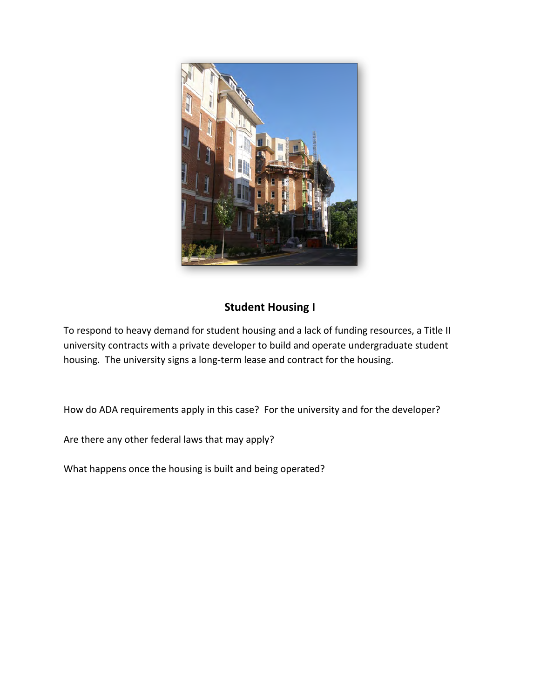

### **Student Housing I**

To respond to heavy demand for student housing and a lack of funding resources, a Title II university contracts with a private developer to build and operate undergraduate student housing. The university signs a long-term lease and contract for the housing.

How do ADA requirements apply in this case? For the university and for the developer?

Are there any other federal laws that may apply?

What happens once the housing is built and being operated?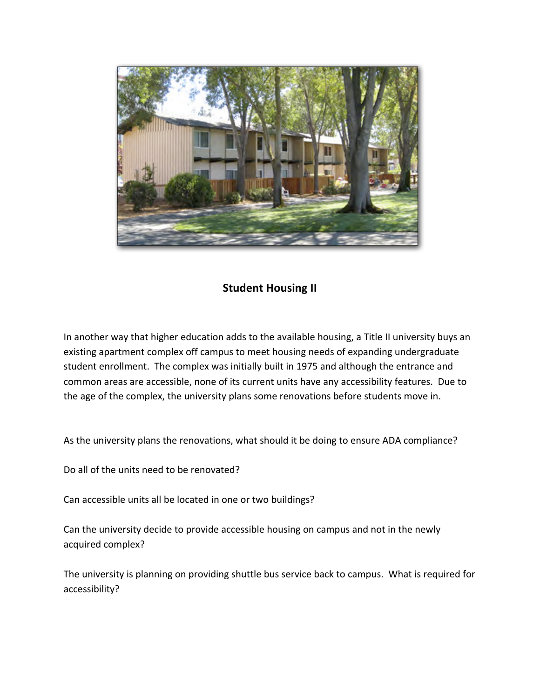

#### **Student Housing II**

In another way that higher education adds to the available housing, a Title II university buys an existing apartment complex off campus to meet housing needs of expanding undergraduate student enrollment. The complex was initially built in 1975 and although the entrance and common areas are accessible, none of its current units have any accessibility features. Due to the age of the complex, the university plans some renovations before students move in.

As the university plans the renovations, what should it be doing to ensure ADA compliance?

Do all of the units need to be renovated?

Can accessible units all be located in one or two buildings?

Can the university decide to provide accessible housing on campus and not in the newly acquired complex?

The university is planning on providing shuttle bus service back to campus. What is required for accessibility?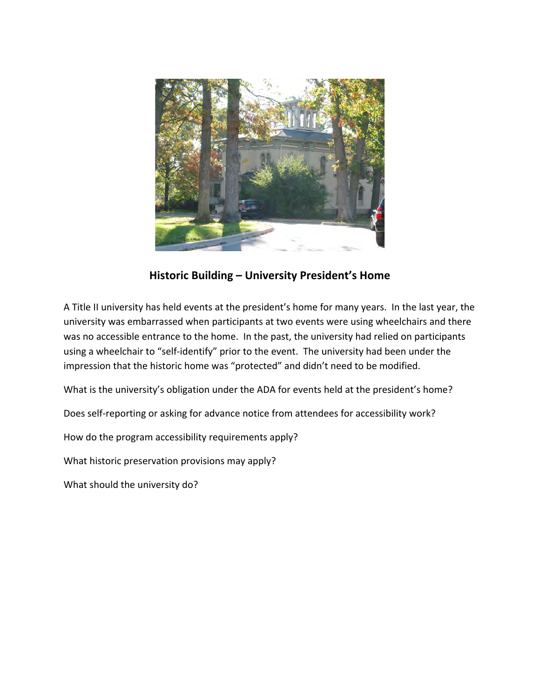

### Historic Building - University President's Home

A Title II university has held events at the president's home for many years. In the last year, the university was embarrassed when participants at two events were using wheelchairs and there was no accessible entrance to the home. In the past, the university had relied on participants using a wheelchair to "self-identify" prior to the event. The university had been under the impression that the historic home was "protected" and didn't need to be modified.

What is the university's obligation under the ADA for events held at the president's home?

Does self-reporting or asking for advance notice from attendees for accessibility work?

How do the program accessibility requirements apply?

What historic preservation provisions may apply?

What should the university do?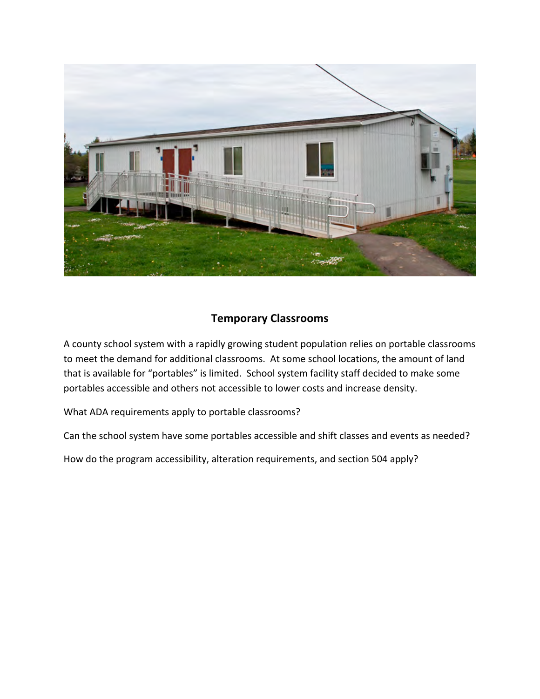

## **Temporary Classrooms**

A county school system with a rapidly growing student population relies on portable classrooms to meet the demand for additional classrooms. At some school locations, the amount of land that is available for "portables" is limited. School system facility staff decided to make some portables accessible and others not accessible to lower costs and increase density.

What ADA requirements apply to portable classrooms?

Can the school system have some portables accessible and shift classes and events as needed?

How do the program accessibility, alteration requirements, and section 504 apply?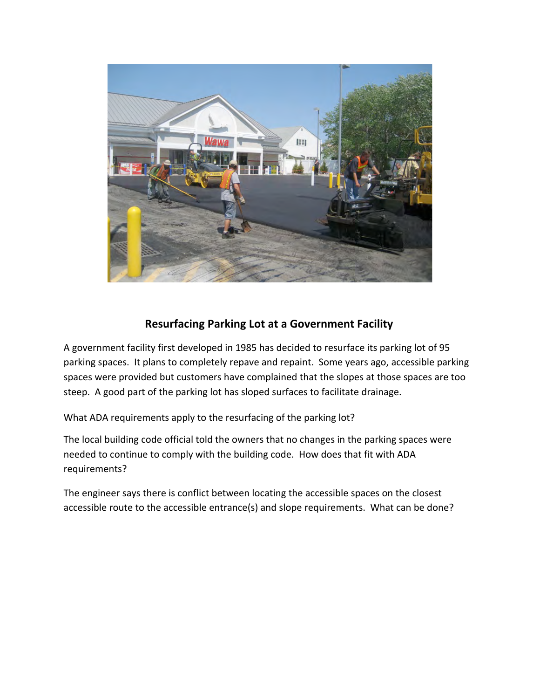

# **Resurfacing Parking Lot at a Government Facility**

A government facility first developed in 1985 has decided to resurface its parking lot of 95 parking spaces. It plans to completely repave and repaint. Some years ago, accessible parking spaces were provided but customers have complained that the slopes at those spaces are too steep. A good part of the parking lot has sloped surfaces to facilitate drainage.

What ADA requirements apply to the resurfacing of the parking lot?

The local building code official told the owners that no changes in the parking spaces were needed to continue to comply with the building code. How does that fit with ADA requirements? 

The engineer says there is conflict between locating the accessible spaces on the closest accessible route to the accessible entrance(s) and slope requirements. What can be done?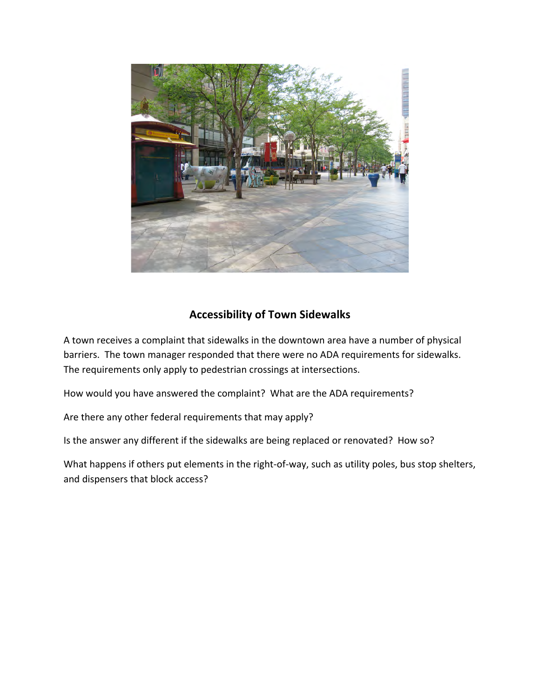

### **Accessibility of Town Sidewalks**

A town receives a complaint that sidewalks in the downtown area have a number of physical barriers. The town manager responded that there were no ADA requirements for sidewalks. The requirements only apply to pedestrian crossings at intersections.

How would you have answered the complaint? What are the ADA requirements?

Are there any other federal requirements that may apply?

Is the answer any different if the sidewalks are being replaced or renovated? How so?

What happens if others put elements in the right-of-way, such as utility poles, bus stop shelters, and dispensers that block access?